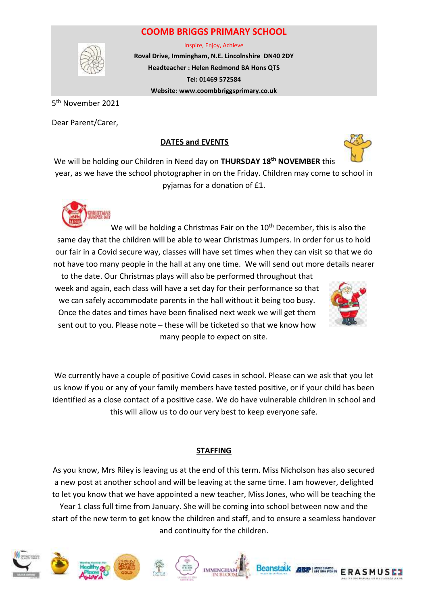## **COOMB BRIGGS PRIMARY SCHOOL**



Inspire, Enjoy, Achieve

**Roval Drive, Immingham, N.E. Lincolnshire DN40 2DY Headteacher : Helen Redmond BA Hons QTS Tel: 01469 572584 Website: www.coombbriggsprimary.co.uk**

5<sup>th</sup> November 2021

Dear Parent/Carer,

## **DATES and EVENTS**



We will be holding our Children in Need day on **THURSDAY 18th NOVEMBER** this year, as we have the school photographer in on the Friday. Children may come to school in pyjamas for a donation of £1.



We will be holding a Christmas Fair on the  $10<sup>th</sup>$  December, this is also the same day that the children will be able to wear Christmas Jumpers. In order for us to hold our fair in a Covid secure way, classes will have set times when they can visit so that we do not have too many people in the hall at any one time. We will send out more details nearer

to the date. Our Christmas plays will also be performed throughout that week and again, each class will have a set day for their performance so that we can safely accommodate parents in the hall without it being too busy. Once the dates and times have been finalised next week we will get them sent out to you. Please note – these will be ticketed so that we know how many people to expect on site.



We currently have a couple of positive Covid cases in school. Please can we ask that you let us know if you or any of your family members have tested positive, or if your child has been identified as a close contact of a positive case. We do have vulnerable children in school and this will allow us to do our very best to keep everyone safe.

## **STAFFING**

As you know, Mrs Riley is leaving us at the end of this term. Miss Nicholson has also secured a new post at another school and will be leaving at the same time. I am however, delighted to let you know that we have appointed a new teacher, Miss Jones, who will be teaching the Year 1 class full time from January. She will be coming into school between now and the start of the new term to get know the children and staff, and to ensure a seamless handover and continuity for the children.